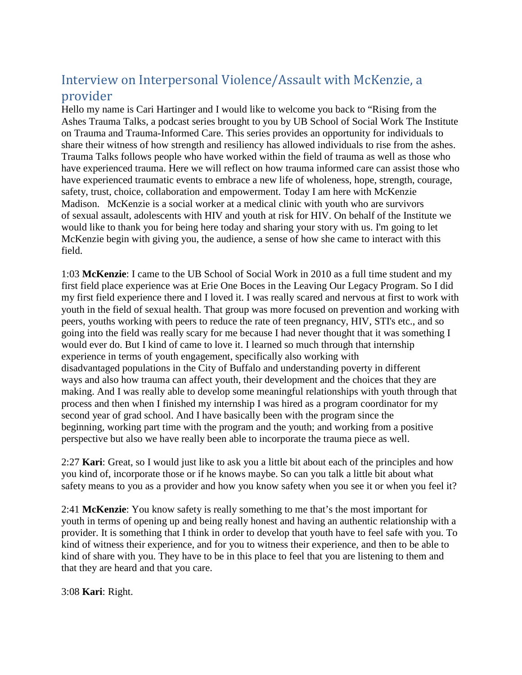# Interview on Interpersonal Violence/Assault with McKenzie, a provider

Hello my name is Cari Hartinger and I would like to welcome you back to "Rising from the Ashes Trauma Talks, a podcast series brought to you by UB School of Social Work The Institute on Trauma and Trauma-Informed Care. This series provides an opportunity for individuals to share their witness of how strength and resiliency has allowed individuals to rise from the ashes. Trauma Talks follows people who have worked within the field of trauma as well as those who have experienced trauma. Here we will reflect on how trauma informed care can assist those who have experienced traumatic events to embrace a new life of wholeness, hope, strength, courage, safety, trust, choice, collaboration and empowerment. Today I am here with McKenzie Madison. McKenzie is a social worker at a medical clinic with youth who are survivors of sexual assault, adolescents with HIV and youth at risk for HIV. On behalf of the Institute we would like to thank you for being here today and sharing your story with us. I'm going to let McKenzie begin with giving you, the audience, a sense of how she came to interact with this field.

1:03 **McKenzie**: I came to the UB School of Social Work in 2010 as a full time student and my first field place experience was at Erie One Boces in the Leaving Our Legacy Program. So I did my first field experience there and I loved it. I was really scared and nervous at first to work with youth in the field of sexual health. That group was more focused on prevention and working with peers, youths working with peers to reduce the rate of teen pregnancy, HIV, STI's etc., and so going into the field was really scary for me because I had never thought that it was something I would ever do. But I kind of came to love it. I learned so much through that internship experience in terms of youth engagement, specifically also working with disadvantaged populations in the City of Buffalo and understanding poverty in different ways and also how trauma can affect youth, their development and the choices that they are making. And I was really able to develop some meaningful relationships with youth through that process and then when I finished my internship I was hired as a program coordinator for my second year of grad school. And I have basically been with the program since the beginning, working part time with the program and the youth; and working from a positive perspective but also we have really been able to incorporate the trauma piece as well.

2:27 **Kari**: Great, so I would just like to ask you a little bit about each of the principles and how you kind of, incorporate those or if he knows maybe. So can you talk a little bit about what safety means to you as a provider and how you know safety when you see it or when you feel it?

2:41 **McKenzie**: You know safety is really something to me that's the most important for youth in terms of opening up and being really honest and having an authentic relationship with a provider. It is something that I think in order to develop that youth have to feel safe with you. To kind of witness their experience, and for you to witness their experience, and then to be able to kind of share with you. They have to be in this place to feel that you are listening to them and that they are heard and that you care.

3:08 **Kari**: Right.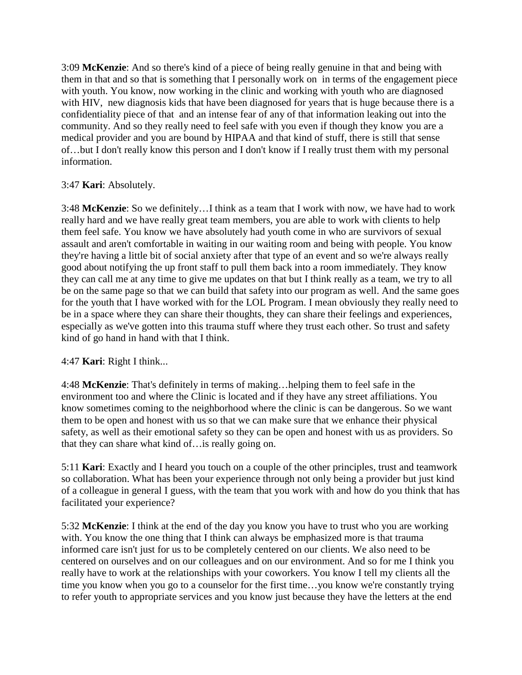3:09 **McKenzie**: And so there's kind of a piece of being really genuine in that and being with them in that and so that is something that I personally work on in terms of the engagement piece with youth. You know, now working in the clinic and working with youth who are diagnosed with HIV, new diagnosis kids that have been diagnosed for years that is huge because there is a confidentiality piece of that and an intense fear of any of that information leaking out into the community. And so they really need to feel safe with you even if though they know you are a medical provider and you are bound by HIPAA and that kind of stuff, there is still that sense of…but I don't really know this person and I don't know if I really trust them with my personal information.

## 3:47 **Kari**: Absolutely.

3:48 **McKenzie**: So we definitely…I think as a team that I work with now, we have had to work really hard and we have really great team members, you are able to work with clients to help them feel safe. You know we have absolutely had youth come in who are survivors of sexual assault and aren't comfortable in waiting in our waiting room and being with people. You know they're having a little bit of social anxiety after that type of an event and so we're always really good about notifying the up front staff to pull them back into a room immediately. They know they can call me at any time to give me updates on that but I think really as a team, we try to all be on the same page so that we can build that safety into our program as well. And the same goes for the youth that I have worked with for the LOL Program. I mean obviously they really need to be in a space where they can share their thoughts, they can share their feelings and experiences, especially as we've gotten into this trauma stuff where they trust each other. So trust and safety kind of go hand in hand with that I think.

## 4:47 **Kari**: Right I think...

4:48 **McKenzie**: That's definitely in terms of making…helping them to feel safe in the environment too and where the Clinic is located and if they have any street affiliations. You know sometimes coming to the neighborhood where the clinic is can be dangerous. So we want them to be open and honest with us so that we can make sure that we enhance their physical safety, as well as their emotional safety so they can be open and honest with us as providers. So that they can share what kind of…is really going on.

5:11 **Kari**: Exactly and I heard you touch on a couple of the other principles, trust and teamwork so collaboration. What has been your experience through not only being a provider but just kind of a colleague in general I guess, with the team that you work with and how do you think that has facilitated your experience?

5:32 **McKenzie**: I think at the end of the day you know you have to trust who you are working with. You know the one thing that I think can always be emphasized more is that trauma informed care isn't just for us to be completely centered on our clients. We also need to be centered on ourselves and on our colleagues and on our environment. And so for me I think you really have to work at the relationships with your coworkers. You know I tell my clients all the time you know when you go to a counselor for the first time…you know we're constantly trying to refer youth to appropriate services and you know just because they have the letters at the end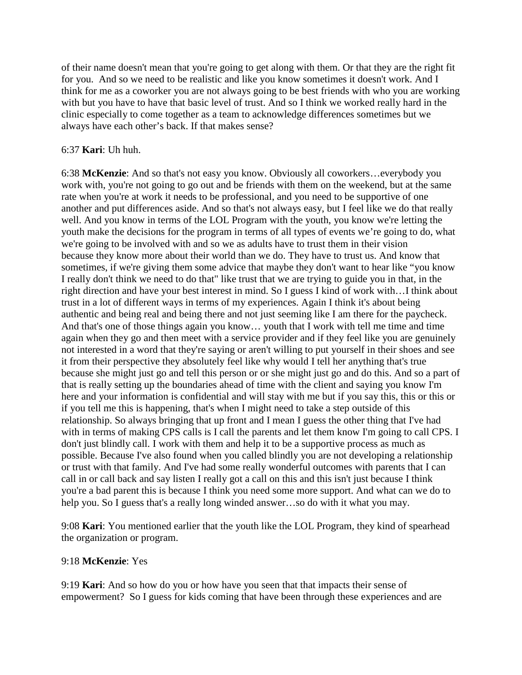of their name doesn't mean that you're going to get along with them. Or that they are the right fit for you. And so we need to be realistic and like you know sometimes it doesn't work. And I think for me as a coworker you are not always going to be best friends with who you are working with but you have to have that basic level of trust. And so I think we worked really hard in the clinic especially to come together as a team to acknowledge differences sometimes but we always have each other's back. If that makes sense?

#### 6:37 **Kari**: Uh huh.

6:38 **McKenzie**: And so that's not easy you know. Obviously all coworkers…everybody you work with, you're not going to go out and be friends with them on the weekend, but at the same rate when you're at work it needs to be professional, and you need to be supportive of one another and put differences aside. And so that's not always easy, but I feel like we do that really well. And you know in terms of the LOL Program with the youth, you know we're letting the youth make the decisions for the program in terms of all types of events we're going to do, what we're going to be involved with and so we as adults have to trust them in their vision because they know more about their world than we do. They have to trust us. And know that sometimes, if we're giving them some advice that maybe they don't want to hear like "you know I really don't think we need to do that" like trust that we are trying to guide you in that, in the right direction and have your best interest in mind. So I guess I kind of work with…I think about trust in a lot of different ways in terms of my experiences. Again I think it's about being authentic and being real and being there and not just seeming like I am there for the paycheck. And that's one of those things again you know… youth that I work with tell me time and time again when they go and then meet with a service provider and if they feel like you are genuinely not interested in a word that they're saying or aren't willing to put yourself in their shoes and see it from their perspective they absolutely feel like why would I tell her anything that's true because she might just go and tell this person or or she might just go and do this. And so a part of that is really setting up the boundaries ahead of time with the client and saying you know I'm here and your information is confidential and will stay with me but if you say this, this or this or if you tell me this is happening, that's when I might need to take a step outside of this relationship. So always bringing that up front and I mean I guess the other thing that I've had with in terms of making CPS calls is I call the parents and let them know I'm going to call CPS. I don't just blindly call. I work with them and help it to be a supportive process as much as possible. Because I've also found when you called blindly you are not developing a relationship or trust with that family. And I've had some really wonderful outcomes with parents that I can call in or call back and say listen I really got a call on this and this isn't just because I think you're a bad parent this is because I think you need some more support. And what can we do to help you. So I guess that's a really long winded answer…so do with it what you may.

9:08 **Kari**: You mentioned earlier that the youth like the LOL Program, they kind of spearhead the organization or program.

#### 9:18 **McKenzie**: Yes

9:19 **Kari**: And so how do you or how have you seen that that impacts their sense of empowerment? So I guess for kids coming that have been through these experiences and are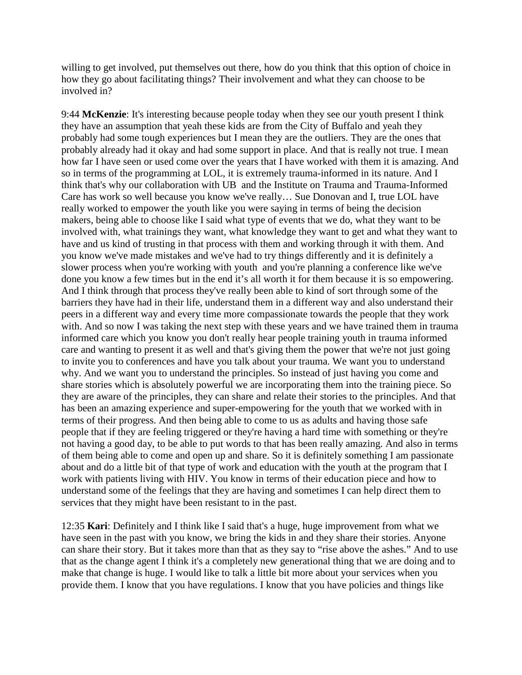willing to get involved, put themselves out there, how do you think that this option of choice in how they go about facilitating things? Their involvement and what they can choose to be involved in?

9:44 **McKenzie**: It's interesting because people today when they see our youth present I think they have an assumption that yeah these kids are from the City of Buffalo and yeah they probably had some tough experiences but I mean they are the outliers. They are the ones that probably already had it okay and had some support in place. And that is really not true. I mean how far I have seen or used come over the years that I have worked with them it is amazing. And so in terms of the programming at LOL, it is extremely trauma-informed in its nature. And I think that's why our collaboration with UB and the Institute on Trauma and Trauma-Informed Care has work so well because you know we've really… Sue Donovan and I, true LOL have really worked to empower the youth like you were saying in terms of being the decision makers, being able to choose like I said what type of events that we do, what they want to be involved with, what trainings they want, what knowledge they want to get and what they want to have and us kind of trusting in that process with them and working through it with them. And you know we've made mistakes and we've had to try things differently and it is definitely a slower process when you're working with youth and you're planning a conference like we've done you know a few times but in the end it's all worth it for them because it is so empowering. And I think through that process they've really been able to kind of sort through some of the barriers they have had in their life, understand them in a different way and also understand their peers in a different way and every time more compassionate towards the people that they work with. And so now I was taking the next step with these years and we have trained them in trauma informed care which you know you don't really hear people training youth in trauma informed care and wanting to present it as well and that's giving them the power that we're not just going to invite you to conferences and have you talk about your trauma. We want you to understand why. And we want you to understand the principles. So instead of just having you come and share stories which is absolutely powerful we are incorporating them into the training piece. So they are aware of the principles, they can share and relate their stories to the principles. And that has been an amazing experience and super-empowering for the youth that we worked with in terms of their progress. And then being able to come to us as adults and having those safe people that if they are feeling triggered or they're having a hard time with something or they're not having a good day, to be able to put words to that has been really amazing. And also in terms of them being able to come and open up and share. So it is definitely something I am passionate about and do a little bit of that type of work and education with the youth at the program that I work with patients living with HIV. You know in terms of their education piece and how to understand some of the feelings that they are having and sometimes I can help direct them to services that they might have been resistant to in the past.

12:35 **Kari**: Definitely and I think like I said that's a huge, huge improvement from what we have seen in the past with you know, we bring the kids in and they share their stories. Anyone can share their story. But it takes more than that as they say to "rise above the ashes." And to use that as the change agent I think it's a completely new generational thing that we are doing and to make that change is huge. I would like to talk a little bit more about your services when you provide them. I know that you have regulations. I know that you have policies and things like